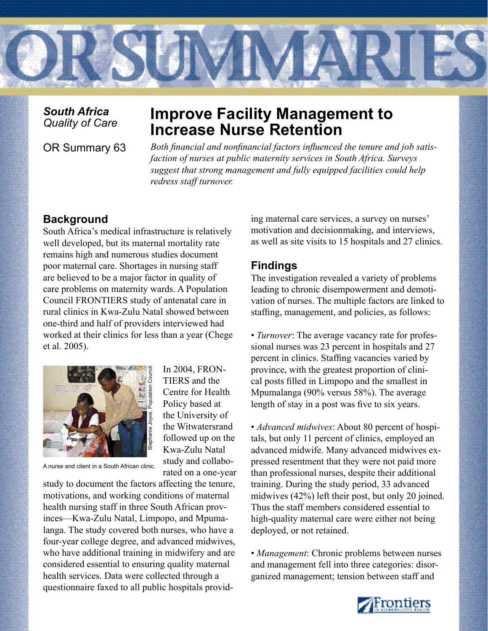

*South Africa*

# **Improve Facility Management to Increase Nurse Retention**

OR Summary 63 *Both financial and nonfinancial factors influenced the tenure and job satisfaction of nurses at public maternity services in South Africa. Surveys suggest that strong management and fully equipped facilities could help redress staff turnover.* 

## **Background**

South Africa's medical infrastructure is relatively well developed, but its maternal mortality rate remains high and numerous studies document poor maternal care. Shortages in nursing staff are believed to be a major factor in quality of care problems on maternity wards. A Population Council FRONTIERS study of antenatal care in rural clinics in Kwa-Zulu Natal showed between one-third and half of providers interviewed had worked at their clinics for less than a year (Chege et al. 2005).



In 2004, FRON-TIERS and the Centre for Health Policy based at the University of the Witwatersrand followed up on the Kwa-Zulu Natal study and collaborated on a one-year

A nurse and client in a South African clinic.

study to document the factors affecting the tenure, motivations, and working conditions of maternal health nursing staff in three South African provinces—Kwa-Zulu Natal, Limpopo, and Mpumalanga. The study covered both nurses, who have a four-year college degree, and advanced midwives, who have additional training in midwifery and are considered essential to ensuring quality maternal health services. Data were collected through a questionnaire faxed to all public hospitals providing maternal care services, a survey on nurses' motivation and decisionmaking, and interviews, as well as site visits to 15 hospitals and 27 clinics.

## **Findings**

The investigation revealed a variety of problems leading to chronic disempowerment and demotivation of nurses. The multiple factors are linked to staffing, management, and policies, as follows:

• *Turnover*: The average vacancy rate for professional nurses was 23 percent in hospitals and 27 percent in clinics. Staffing vacancies varied by province, with the greatest proportion of clinical posts filled in Limpopo and the smallest in Mpumalanga (90% versus 58%). The average length of stay in a post was five to six years.

• *Advanced midwives*: About 80 percent of hospitals, but only 11 percent of clinics, employed an advanced midwife. Many advanced midwives expressed resentment that they were not paid more than professional nurses, despite their additional training. During the study period, 33 advanced midwives (42%) left their post, but only 20 joined. Thus the staff members considered essential to high-quality maternal care were either not being deployed, or not retained.

• *Management*: Chronic problems between nurses and management fell into three categories: disorganized management; tension between staff and